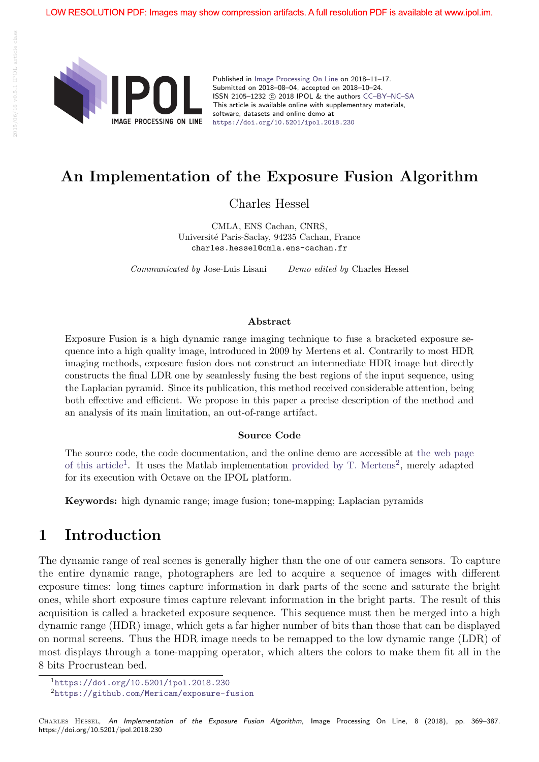

Published in Image Processing On Line on 2018–11–17. Submitted on 2018–08–04, accepted on 2018–10–24. ISSN 2105-1232 (c) 2018 IPOL & the authors CC-BY-NC-SA This article is available online with supplementary materials, software, datasets and online demo at https://doi.org/10.5201/ipol.2018.230

## An Implementation of the Exposure Fusion Algorithm

Charles Hessel

CMLA, ENS Cachan, CNRS, Universit´e Paris-Saclay, 94235 Cachan, France charles.hessel@cmla.ens-cachan.fr

Communicated by Jose-Luis Lisani Demo edited by Charles Hessel

#### Abstract

Exposure Fusion is a high dynamic range imaging technique to fuse a bracketed exposure sequence into a high quality image, introduced in 2009 by Mertens et al. Contrarily to most HDR imaging methods, exposure fusion does not construct an intermediate HDR image but directly constructs the final LDR one by seamlessly fusing the best regions of the input sequence, using the Laplacian pyramid. Since its publication, this method received considerable attention, being both effective and efficient. We propose in this paper a precise description of the method and an analysis of its main limitation, an out-of-range artifact.

#### Source Code

The source code, the code documentation, and the online demo are accessible at the web page of this article<sup>1</sup>. It uses the Matlab implementation provided by T. Mertens<sup>2</sup>, merely adapted for its execution with Octave on the IPOL platform.

Keywords: high dynamic range; image fusion; tone-mapping; Laplacian pyramids

### 1 Introduction

The dynamic range of real scenes is generally higher than the one of our camera sensors. To capture the entire dynamic range, photographers are led to acquire a sequence of images with different exposure times: long times capture information in dark parts of the scene and saturate the bright ones, while short exposure times capture relevant information in the bright parts. The result of this acquisition is called a bracketed exposure sequence. This sequence must then be merged into a high dynamic range (HDR) image, which gets a far higher number of bits than those that can be displayed on normal screens. Thus the HDR image needs to be remapped to the low dynamic range (LDR) of most displays through a tone-mapping operator, which alters the colors to make them fit all in the 8 bits Procrustean bed.

<sup>1</sup>https://doi.org/10.5201/ipol.2018.230

<sup>2</sup>https://github.com/Mericam/exposure-fusion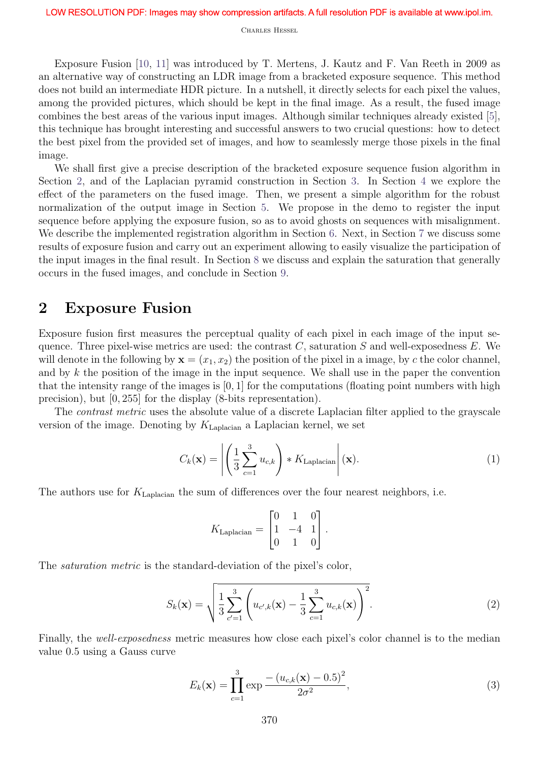Exposure Fusion [10, 11] was introduced by T. Mertens, J. Kautz and F. Van Reeth in 2009 as an alternative way of constructing an LDR image from a bracketed exposure sequence. This method does not build an intermediate HDR picture. In a nutshell, it directly selects for each pixel the values, among the provided pictures, which should be kept in the final image. As a result, the fused image combines the best areas of the various input images. Although similar techniques already existed [5], this technique has brought interesting and successful answers to two crucial questions: how to detect the best pixel from the provided set of images, and how to seamlessly merge those pixels in the final image.

We shall first give a precise description of the bracketed exposure sequence fusion algorithm in Section 2, and of the Laplacian pyramid construction in Section 3. In Section 4 we explore the effect of the parameters on the fused image. Then, we present a simple algorithm for the robust normalization of the output image in Section 5. We propose in the demo to register the input sequence before applying the exposure fusion, so as to avoid ghosts on sequences with misalignment. We describe the implemented registration algorithm in Section 6. Next, in Section 7 we discuss some results of exposure fusion and carry out an experiment allowing to easily visualize the participation of the input images in the final result. In Section 8 we discuss and explain the saturation that generally occurs in the fused images, and conclude in Section 9.

### 2 Exposure Fusion

Exposure fusion first measures the perceptual quality of each pixel in each image of the input sequence. Three pixel-wise metrics are used: the contrast  $C$ , saturation  $S$  and well-exposedness  $E$ . We will denote in the following by  $\mathbf{x} = (x_1, x_2)$  the position of the pixel in a image, by c the color channel, and by  $k$  the position of the image in the input sequence. We shall use in the paper the convention that the intensity range of the images is  $[0, 1]$  for the computations (floating point numbers with high precision), but [0, 255] for the display (8-bits representation).

The *contrast metric* uses the absolute value of a discrete Laplacian filter applied to the grayscale version of the image. Denoting by  $K_{\text{Laplacian}}$  a Laplacian kernel, we set

$$
C_k(\mathbf{x}) = \left| \left( \frac{1}{3} \sum_{c=1}^3 u_{c,k} \right) * K_{\text{Laplacian}} \right| (\mathbf{x}). \tag{1}
$$

The authors use for  $K_{\text{Laplacian}}$  the sum of differences over the four nearest neighbors, i.e.

$$
K_{\text{Laplacian}} = \begin{bmatrix} 0 & 1 & 0 \\ 1 & -4 & 1 \\ 0 & 1 & 0 \end{bmatrix}.
$$

The saturation metric is the standard-deviation of the pixel's color,

$$
S_k(\mathbf{x}) = \sqrt{\frac{1}{3} \sum_{c'=1}^{3} \left( u_{c',k}(\mathbf{x}) - \frac{1}{3} \sum_{c=1}^{3} u_{c,k}(\mathbf{x}) \right)^2}.
$$
 (2)

Finally, the *well-exposedness* metric measures how close each pixel's color channel is to the median value 0.5 using a Gauss curve

$$
E_k(\mathbf{x}) = \prod_{c=1}^3 \exp \frac{- (u_{c,k}(\mathbf{x}) - 0.5)^2}{2\sigma^2},
$$
\n(3)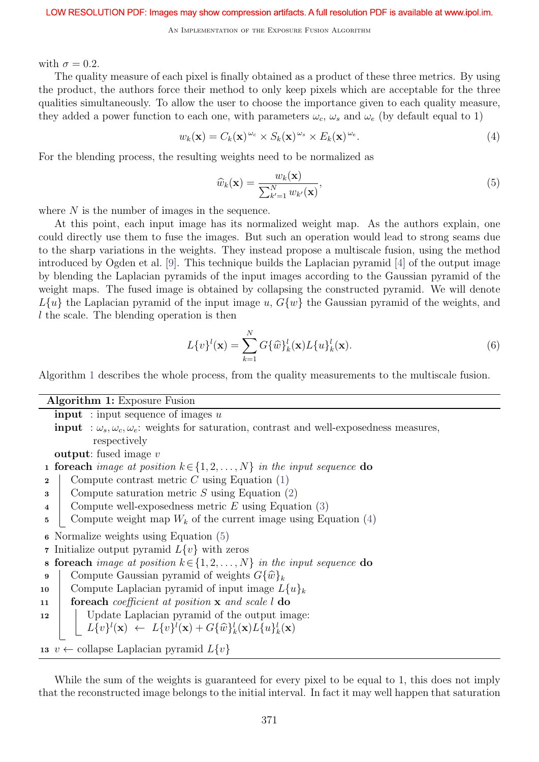AN IMPLEMENTATION OF THE EXPOSURE FUSION ALGORITHM

with  $\sigma = 0.2$ .

The quality measure of each pixel is finally obtained as a product of these three metrics. By using the product, the authors force their method to only keep pixels which are acceptable for the three qualities simultaneously. To allow the user to choose the importance given to each quality measure, they added a power function to each one, with parameters  $\omega_c$ ,  $\omega_s$  and  $\omega_e$  (by default equal to 1)

$$
w_k(\mathbf{x}) = C_k(\mathbf{x})^{\omega_c} \times S_k(\mathbf{x})^{\omega_s} \times E_k(\mathbf{x})^{\omega_e}.
$$
\n(4)

For the blending process, the resulting weights need to be normalized as

$$
\widehat{w}_k(\mathbf{x}) = \frac{w_k(\mathbf{x})}{\sum_{k'=1}^N w_{k'}(\mathbf{x})},\tag{5}
$$

where  $N$  is the number of images in the sequence.

At this point, each input image has its normalized weight map. As the authors explain, one could directly use them to fuse the images. But such an operation would lead to strong seams due to the sharp variations in the weights. They instead propose a multiscale fusion, using the method introduced by Ogden et al. [9]. This technique builds the Laplacian pyramid [4] of the output image by blending the Laplacian pyramids of the input images according to the Gaussian pyramid of the weight maps. The fused image is obtained by collapsing the constructed pyramid. We will denote  $L\{u\}$  the Laplacian pyramid of the input image u,  $G\{w\}$  the Gaussian pyramid of the weights, and l the scale. The blending operation is then

$$
L\{v\}^{l}(\mathbf{x}) = \sum_{k=1}^{N} G\{\widehat{w}\}_{k}^{l}(\mathbf{x})L\{u\}_{k}^{l}(\mathbf{x}).
$$
\n(6)

Algorithm 1 describes the whole process, from the quality measurements to the multiscale fusion.

| <b>Algorithm 1:</b> Exposure Fusion                                                                                                       |  |  |  |  |
|-------------------------------------------------------------------------------------------------------------------------------------------|--|--|--|--|
| <b>input</b> : input sequence of images $u$                                                                                               |  |  |  |  |
| <b>input</b> : $\omega_s, \omega_c, \omega_e$ : weights for saturation, contrast and well-exposedness measures,                           |  |  |  |  |
| respectively                                                                                                                              |  |  |  |  |
| <b>output:</b> fused image $v$                                                                                                            |  |  |  |  |
| <b>1 for each</b> <i>image at position</i> $k \in \{1, 2, , N\}$ <i>in the input sequence</i> <b>do</b>                                   |  |  |  |  |
| Compute contrast metric $C$ using Equation $(1)$<br>$\bf{2}$                                                                              |  |  |  |  |
| Compute saturation metric $S$ using Equation $(2)$<br>3                                                                                   |  |  |  |  |
| Compute well-exposedness metric $E$ using Equation $(3)$<br>4                                                                             |  |  |  |  |
| Compute weight map $W_k$ of the current image using Equation (4)<br>5                                                                     |  |  |  |  |
| <b>6</b> Normalize weights using Equation (5)                                                                                             |  |  |  |  |
| 7 Initialize output pyramid $L\{v\}$ with zeros                                                                                           |  |  |  |  |
| <b>s</b> for each <i>image at position</i> $k \in \{1, 2, , N\}$ <i>in the input sequence</i> do                                          |  |  |  |  |
| Compute Gaussian pyramid of weights $G\{\hat{w}\}_k$<br>9                                                                                 |  |  |  |  |
| Compute Laplacian pyramid of input image $L\{u\}_k$<br>10                                                                                 |  |  |  |  |
| <b>foreach</b> coefficient at position <b>x</b> and scale l <b>do</b><br>11                                                               |  |  |  |  |
| Update Laplacian pyramid of the output image:<br>12                                                                                       |  |  |  |  |
| $\left  L\{v\}^{l}(\mathbf{x}) \leftarrow L\{v\}^{l}(\mathbf{x}) + G\{\widehat{w}\}_{k}^{l}(\mathbf{x})L\{u\}_{k}^{l}(\mathbf{x})\right $ |  |  |  |  |
| 13 $v \leftarrow$ collapse Laplacian pyramid $L\{v\}$                                                                                     |  |  |  |  |

While the sum of the weights is guaranteed for every pixel to be equal to 1, this does not imply that the reconstructed image belongs to the initial interval. In fact it may well happen that saturation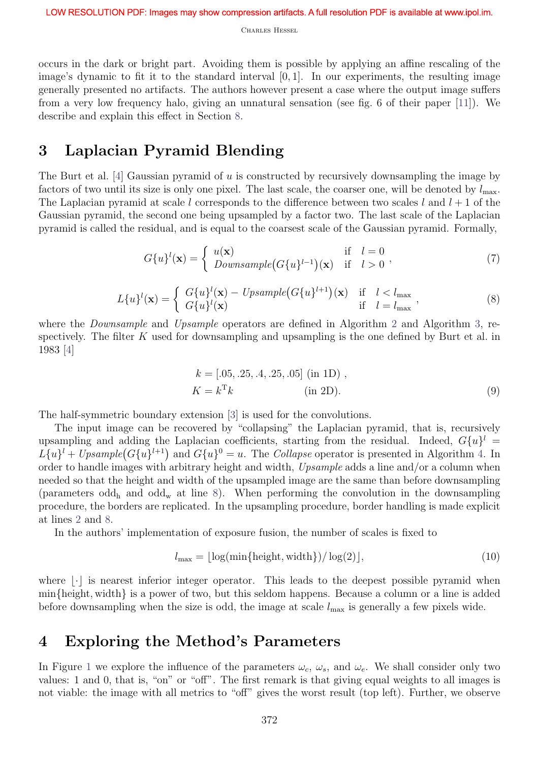occurs in the dark or bright part. Avoiding them is possible by applying an affine rescaling of the image's dynamic to fit it to the standard interval  $[0, 1]$ . In our experiments, the resulting image generally presented no artifacts. The authors however present a case where the output image suffers from a very low frequency halo, giving an unnatural sensation (see fig. 6 of their paper [11]). We describe and explain this effect in Section 8.

## 3 Laplacian Pyramid Blending

The Burt et al. [4] Gaussian pyramid of  $u$  is constructed by recursively downsampling the image by factors of two until its size is only one pixel. The last scale, the coarser one, will be denoted by  $l_{\text{max}}$ . The Laplacian pyramid at scale l corresponds to the difference between two scales l and  $l + 1$  of the Gaussian pyramid, the second one being upsampled by a factor two. The last scale of the Laplacian pyramid is called the residual, and is equal to the coarsest scale of the Gaussian pyramid. Formally,

$$
G\{u\}^{l}(\mathbf{x}) = \begin{cases} u(\mathbf{x}) & \text{if } l = 0 \\ \text{Downsample}(G\{u\}^{l-1})(\mathbf{x}) & \text{if } l > 0 \end{cases}, \tag{7}
$$

$$
L\{u\}^{l}(\mathbf{x}) = \begin{cases} G\{u\}^{l}(\mathbf{x}) - Upsample(G\{u\}^{l+1})(\mathbf{x}) & \text{if } l < l_{\text{max}} \\ G\{u\}^{l}(\mathbf{x}) & \text{if } l = l_{\text{max}} \end{cases},
$$
\n(8)

where the *Downsample* and *Upsample* operators are defined in Algorithm 2 and Algorithm 3, respectively. The filter  $K$  used for downsampling and upsampling is the one defined by Burt et al. in 1983 [4]

$$
k = [.05, .25, .4, .25, .05] \text{ (in 1D)},
$$
  

$$
K = k^{T}k \qquad \text{(in 2D)}.
$$
 (9)

The half-symmetric boundary extension [3] is used for the convolutions.

The input image can be recovered by "collapsing" the Laplacian pyramid, that is, recursively upsampling and adding the Laplacian coefficients, starting from the residual. Indeed,  $G\{u\}$ <sup>l</sup> =  $L\{u\}^l + Upsample(G{u}^{l+1})$  and  $G{u}^0 = u$ . The *Collapse* operator is presented in Algorithm 4. In order to handle images with arbitrary height and width, Upsample adds a line and/or a column when needed so that the height and width of the upsampled image are the same than before downsampling (parameters odd<sub>n</sub> and odd<sub>w</sub> at line 8). When performing the convolution in the downsampling procedure, the borders are replicated. In the upsampling procedure, border handling is made explicit at lines 2 and 8.

In the authors' implementation of exposure fusion, the number of scales is fixed to

$$
l_{\max} = \lfloor \log(\min\{\text{height}, \text{width}\}) / \log(2) \rfloor,\tag{10}
$$

where  $|\cdot|$  is nearest inferior integer operator. This leads to the deepest possible pyramid when min{height, width} is a power of two, but this seldom happens. Because a column or a line is added before downsampling when the size is odd, the image at scale  $l_{\text{max}}$  is generally a few pixels wide.

### 4 Exploring the Method's Parameters

In Figure 1 we explore the influence of the parameters  $\omega_c$ ,  $\omega_s$ , and  $\omega_e$ . We shall consider only two values: 1 and 0, that is, "on" or "off". The first remark is that giving equal weights to all images is not viable: the image with all metrics to "off" gives the worst result (top left). Further, we observe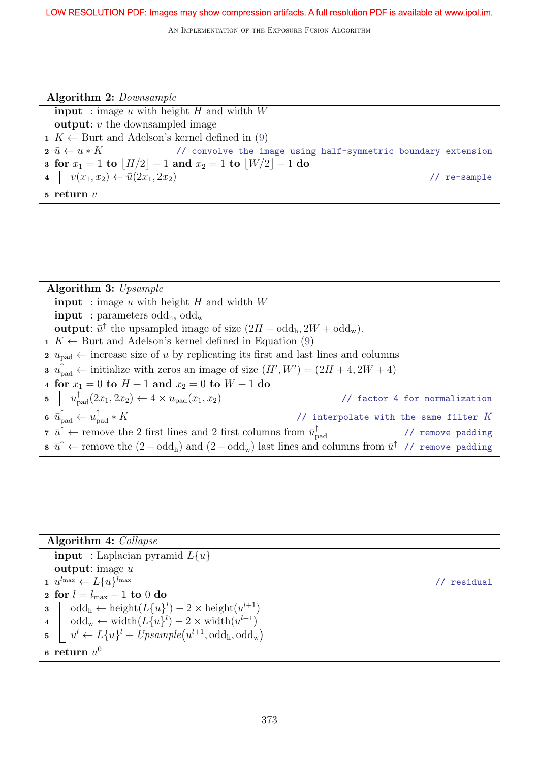AN IMPLEMENTATION OF THE EXPOSURE FUSION ALGORITHM

| <b>Algorithm 2:</b> Downsample                                                             |  |
|--------------------------------------------------------------------------------------------|--|
| <b>input</b> : image u with height H and width $W$                                         |  |
| <b>output:</b> $v$ the downsampled image                                                   |  |
| $1 K \leftarrow$ Burt and Adelson's kernel defined in (9)                                  |  |
| 2 $\bar{u} \leftarrow u * K$ // convolve the image using half-symmetric boundary extension |  |
| a for $x_1 = 1$ to $ H/2  - 1$ and $x_2 = 1$ to $ W/2  - 1$ do                             |  |
| 4 $v(x_1, x_2) \leftarrow \bar{u}(2x_1, 2x_2)$<br>$//$ re-sample                           |  |
| $\mathfrak s$ return $v$                                                                   |  |

| <b>Algorithm 3:</b> Upsample                                                                                                                                                 |                                         |
|------------------------------------------------------------------------------------------------------------------------------------------------------------------------------|-----------------------------------------|
| <b>input</b> : image $u$ with height $H$ and width $W$                                                                                                                       |                                         |
| <b>input</b> : parameters odd <sub>h</sub> , odd <sub>w</sub>                                                                                                                |                                         |
| <b>output</b> : $\bar{u}^{\uparrow}$ the upsampled image of size $(2H + \text{odd}_{h}, 2W + \text{odd}_{w}).$                                                               |                                         |
| $1 K \leftarrow$ Burt and Adelson's kernel defined in Equation (9)                                                                                                           |                                         |
| 2 $u_{\text{pad}} \leftarrow$ increase size of u by replicating its first and last lines and columns                                                                         |                                         |
| $\mathbf{a} \ u_{\text{nad}}^{\uparrow} \leftarrow$ initialize with zeros an image of size $(H', W') = (2H + 4, 2W + 4)$                                                     |                                         |
| 4 for $x_1 = 0$ to $H + 1$ and $x_2 = 0$ to $W + 1$ do                                                                                                                       |                                         |
| 5 $u_{\text{pad}}^{\uparrow}(2x_1, 2x_2) \leftarrow 4 \times u_{\text{pad}}(x_1, x_2)$                                                                                       | // factor 4 for normalization           |
| 6 $\bar{u}_{\text{pad}}^{\uparrow} \leftarrow u_{\text{pad}}^{\uparrow} * K$                                                                                                 | // interpolate with the same filter $K$ |
| $\tau \bar{u}^{\uparrow} \leftarrow$ remove the 2 first lines and 2 first columns from $\bar{u}_{\text{nad}}^{\uparrow}$                                                     | // remove padding                       |
| $\mathbf{s} \ \bar{u}^{\uparrow} \leftarrow$ remove the $(2 - \text{odd}_{h})$ and $(2 - \text{odd}_{w})$ last lines and columns from $\bar{u}^{\uparrow}$ // remove padding |                                         |

#### Algorithm 4: Collapse

**input** : Laplacian pyramid  $L{u}$ output: image  $u$  $1 \;\; u^{l_{\max}} \leftarrow L\{u\}$  $l_{\max}$  // residual  $\mathbf{2} \;\, \mathbf{for} \; l=l_\mathrm{max}-1 \;\mathbf{to} \; 0 \;\mathbf{do}$  $\texttt{s} \quad | \quad \text{odd}_{\text{h}} \leftarrow \text{height}(L\{u\}^l) - 2 \times \text{height}(u^{l+1})$  $\begin{array}{c} \texttt{4} \end{array}$  odd<sub>w</sub>  $\leftarrow$  width $(L{u}^l) - 2 \times \text{width}(u^{l+1})$ 5  $u^l \leftarrow L\{u\}^l + Upsample(u^{l+1}, \text{odd}_h, \text{odd}_w)$  $\,$ 6 return  $u^0$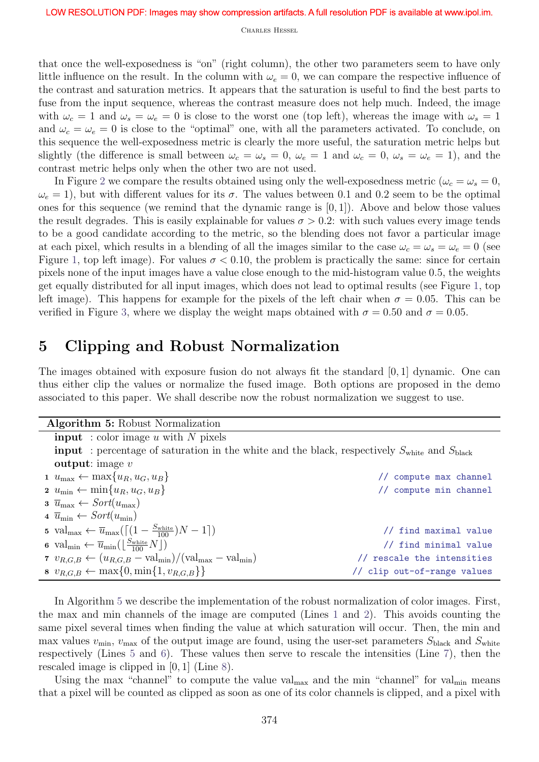that once the well-exposedness is "on" (right column), the other two parameters seem to have only little influence on the result. In the column with  $\omega_e = 0$ , we can compare the respective influence of the contrast and saturation metrics. It appears that the saturation is useful to find the best parts to fuse from the input sequence, whereas the contrast measure does not help much. Indeed, the image with  $\omega_c = 1$  and  $\omega_s = \omega_e = 0$  is close to the worst one (top left), whereas the image with  $\omega_s = 1$ and  $\omega_c = \omega_e = 0$  is close to the "optimal" one, with all the parameters activated. To conclude, on this sequence the well-exposedness metric is clearly the more useful, the saturation metric helps but slightly (the difference is small between  $\omega_c = \omega_s = 0$ ,  $\omega_e = 1$  and  $\omega_c = 0$ ,  $\omega_s = \omega_e = 1$ ), and the contrast metric helps only when the other two are not used.

In Figure 2 we compare the results obtained using only the well-exposedness metric ( $\omega_c = \omega_s = 0$ ,  $\omega_e = 1$ ), but with different values for its  $\sigma$ . The values between 0.1 and 0.2 seem to be the optimal ones for this sequence (we remind that the dynamic range is [0, 1]). Above and below those values the result degrades. This is easily explainable for values  $\sigma > 0.2$ : with such values every image tends to be a good candidate according to the metric, so the blending does not favor a particular image at each pixel, which results in a blending of all the images similar to the case  $\omega_c = \omega_s = \omega_e = 0$  (see Figure 1, top left image). For values  $\sigma < 0.10$ , the problem is practically the same: since for certain pixels none of the input images have a value close enough to the mid-histogram value 0.5, the weights get equally distributed for all input images, which does not lead to optimal results (see Figure 1, top left image). This happens for example for the pixels of the left chair when  $\sigma = 0.05$ . This can be verified in Figure 3, where we display the weight maps obtained with  $\sigma = 0.50$  and  $\sigma = 0.05$ .

### 5 Clipping and Robust Normalization

The images obtained with exposure fusion do not always fit the standard [0, 1] dynamic. One can thus either clip the values or normalize the fused image. Both options are proposed in the demo associated to this paper. We shall describe now the robust normalization we suggest to use.

| <b>Algorithm 5:</b> Robust Normalization                                                                             |                             |
|----------------------------------------------------------------------------------------------------------------------|-----------------------------|
| <b>input</b> : color image u with N pixels                                                                           |                             |
| <b>input</b> : percentage of saturation in the white and the black, respectively $S_{white}$ and $S_{black}$         |                             |
| <b>output:</b> image $v$                                                                                             |                             |
| $1 u_{\text{max}} \leftarrow \max\{u_R, u_G, u_B\}$                                                                  | // compute max channel      |
| $u_{\min} \leftarrow \min\{u_R, u_G, u_B\}$                                                                          | // compute min channel      |
| $\mathbf{3} \ \overline{u}_{\text{max}} \leftarrow Sort(u_{\text{max}})$                                             |                             |
| $\overline{u}_{\min} \leftarrow Sort(u_{\min})$                                                                      |                             |
| 5 val <sub>max</sub> $\leftarrow \overline{u}_{\text{max}}(\left[ (1 - \frac{S_{\text{white}}}{100})N - 1 \right])$  | find maximal value          |
| 6 val <sub>min</sub> $\leftarrow \overline{u}_{\min}(\lfloor \frac{S_{\text{white}}}{100}N \rfloor)$                 | // find minimal value       |
| 7 $v_{R,G,B} \leftarrow (u_{R,G,B} - \text{val}_{\text{min}})/( \text{val}_{\text{max}} - \text{val}_{\text{min}} )$ | // rescale the intensities  |
| $v_{R,G,B} \leftarrow \max\{0, \min\{1, v_{R,G,B}\}\}\$                                                              | // clip out-of-range values |

In Algorithm 5 we describe the implementation of the robust normalization of color images. First, the max and min channels of the image are computed (Lines 1 and 2). This avoids counting the same pixel several times when finding the value at which saturation will occur. Then, the min and max values  $v_{\text{min}}$ ,  $v_{\text{max}}$  of the output image are found, using the user-set parameters  $S_{\text{black}}$  and  $S_{\text{white}}$ respectively (Lines 5 and 6). These values then serve to rescale the intensities (Line 7), then the rescaled image is clipped in [0, 1] (Line 8).

Using the max "channel" to compute the value val<sub>max</sub> and the min "channel" for val<sub>min</sub> means that a pixel will be counted as clipped as soon as one of its color channels is clipped, and a pixel with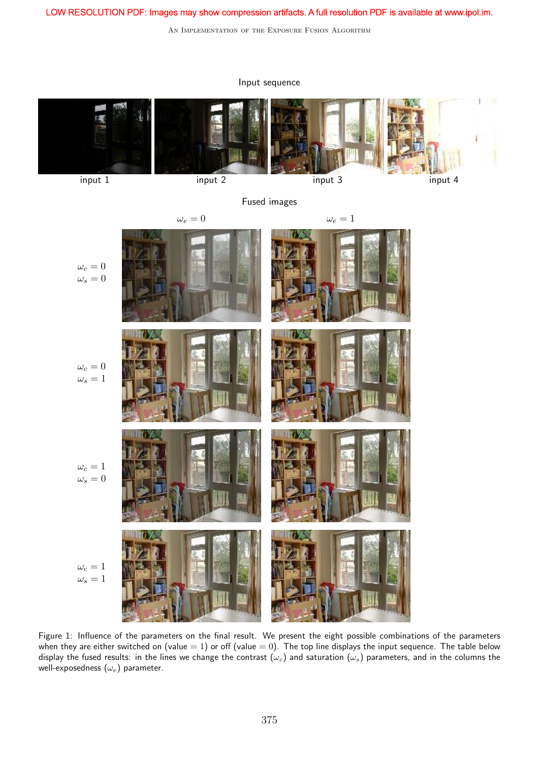AN IMPLEMENTATION OF THE EXPOSURE FUSION ALGORITHM

#### Input sequence



Figure 1: Influence of the parameters on the final result. We present the eight possible combinations of the parameters when they are either switched on (value = 1) or off (value = 0). The top line displays the input sequence. The table below display the fused results: in the lines we change the contrast  $(\omega_c)$  and saturation  $(\omega_s)$  parameters, and in the columns the well-exposedness  $(\omega_e)$  parameter.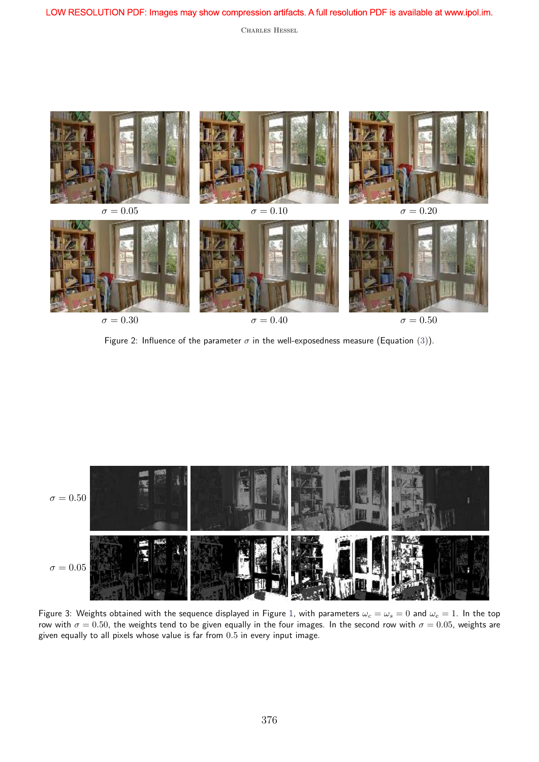

Figure 2: Influence of the parameter  $\sigma$  in the well-exposedness measure (Equation (3)).



Figure 3: Weights obtained with the sequence displayed in Figure 1, with parameters  $\omega_c = \omega_s = 0$  and  $\omega_e = 1$ . In the top row with  $\sigma = 0.50$ , the weights tend to be given equally in the four images. In the second row with  $\sigma = 0.05$ , weights are given equally to all pixels whose value is far from 0.5 in every input image.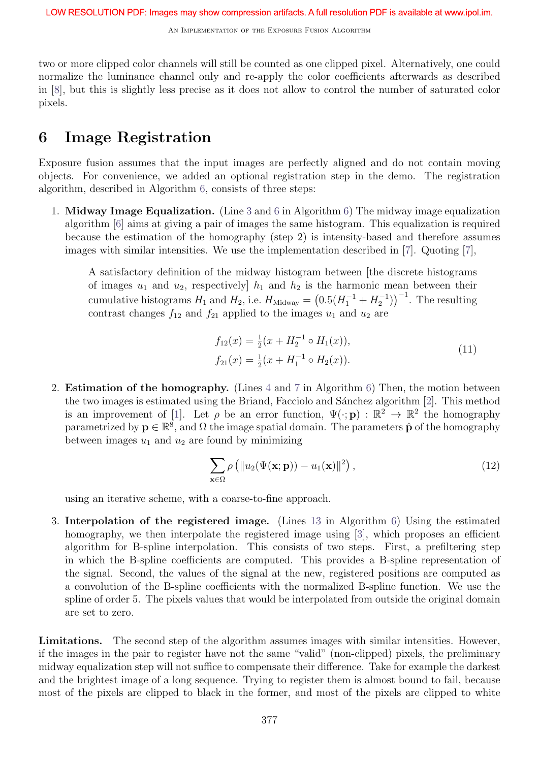two or more clipped color channels will still be counted as one clipped pixel. Alternatively, one could normalize the luminance channel only and re-apply the color coefficients afterwards as described in [8], but this is slightly less precise as it does not allow to control the number of saturated color pixels.

### 6 Image Registration

Exposure fusion assumes that the input images are perfectly aligned and do not contain moving objects. For convenience, we added an optional registration step in the demo. The registration algorithm, described in Algorithm 6, consists of three steps:

1. Midway Image Equalization. (Line 3 and 6 in Algorithm 6) The midway image equalization algorithm [6] aims at giving a pair of images the same histogram. This equalization is required because the estimation of the homography (step 2) is intensity-based and therefore assumes images with similar intensities. We use the implementation described in [7]. Quoting [7],

A satisfactory definition of the midway histogram between [the discrete histograms of images  $u_1$  and  $u_2$ , respectively  $h_1$  and  $h_2$  is the harmonic mean between their cumulative histograms  $H_1$  and  $H_2$ , i.e.  $H_{\text{Midway}} = (0.5(H_1^{-1} + H_2^{-1}))^{-1}$ . The resulting contrast changes  $f_{12}$  and  $f_{21}$  applied to the images  $u_1$  and  $u_2$  are

$$
f_{12}(x) = \frac{1}{2}(x + H_2^{-1} \circ H_1(x)),
$$
  
\n
$$
f_{21}(x) = \frac{1}{2}(x + H_1^{-1} \circ H_2(x)).
$$
\n(11)

2. Estimation of the homography. (Lines 4 and 7 in Algorithm 6) Then, the motion between the two images is estimated using the Briand, Facciolo and Sánchez algorithm [2]. This method is an improvement of [1]. Let  $\rho$  be an error function,  $\Psi(\cdot; \mathbf{p}) : \mathbb{R}^2 \to \mathbb{R}^2$  the homography parametrized by  $\mathbf{p} \in \mathbb{R}^8$ , and  $\Omega$  the image spatial domain. The parameters  $\hat{\mathbf{p}}$  of the homography between images  $u_1$  and  $u_2$  are found by minimizing

$$
\sum_{\mathbf{x}\in\Omega}\rho\left(\|u_2(\Psi(\mathbf{x};\mathbf{p}))-u_1(\mathbf{x})\|^2\right),\tag{12}
$$

using an iterative scheme, with a coarse-to-fine approach.

3. Interpolation of the registered image. (Lines 13 in Algorithm 6) Using the estimated homography, we then interpolate the registered image using [3], which proposes an efficient algorithm for B-spline interpolation. This consists of two steps. First, a prefiltering step in which the B-spline coefficients are computed. This provides a B-spline representation of the signal. Second, the values of the signal at the new, registered positions are computed as a convolution of the B-spline coefficients with the normalized B-spline function. We use the spline of order 5. The pixels values that would be interpolated from outside the original domain are set to zero.

Limitations. The second step of the algorithm assumes images with similar intensities. However, if the images in the pair to register have not the same "valid" (non-clipped) pixels, the preliminary midway equalization step will not suffice to compensate their difference. Take for example the darkest and the brightest image of a long sequence. Trying to register them is almost bound to fail, because most of the pixels are clipped to black in the former, and most of the pixels are clipped to white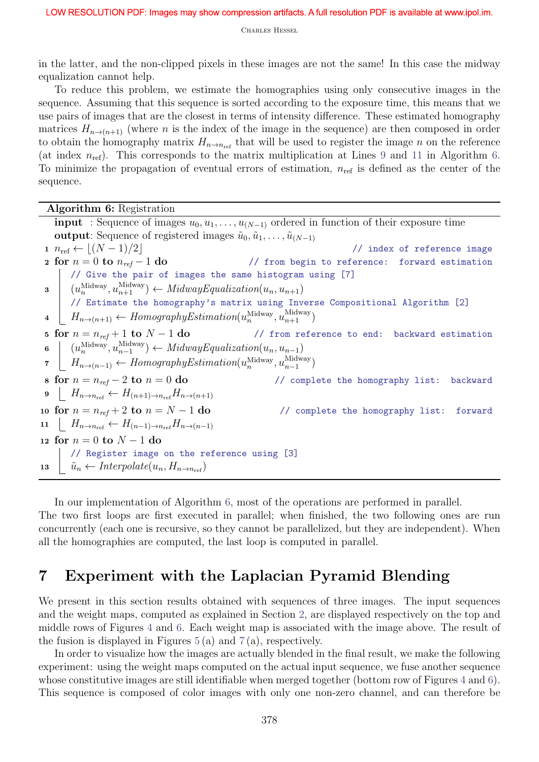in the latter, and the non-clipped pixels in these images are not the same! In this case the midway equalization cannot help.

To reduce this problem, we estimate the homographies using only consecutive images in the sequence. Assuming that this sequence is sorted according to the exposure time, this means that we use pairs of images that are the closest in terms of intensity difference. These estimated homography matrices  $H_{n\to(n+1)}$  (where n is the index of the image in the sequence) are then composed in order to obtain the homography matrix  $H_{n\to n_{ref}}$  that will be used to register the image n on the reference (at index  $n_{ref}$ ). This corresponds to the matrix multiplication at Lines 9 and 11 in Algorithm 6. To minimize the propagation of eventual errors of estimation,  $n_{ref}$  is defined as the center of the sequence.

Algorithm 6: Registration

**input** : Sequence of images  $u_0, u_1, \ldots, u_{N-1}$  ordered in function of their exposure time output: Sequence of registered images  $\tilde{u}_0, \tilde{u}_1, \ldots, \tilde{u}_{(N-1)}$ 1  $n_{\text{ref}} \leftarrow |(N-1)/2|$  // index of reference image 2 for  $n = 0$  to  $n_{ref} - 1$  do // from begin to reference: forward estimation // Give the pair of images the same histogram using [7] 3  $(u_n^{\text{Midway}}, u_{n+1}^{\text{Midway}}) \leftarrow MidwayEqualization(u_n, u_{n+1})$ // Estimate the homography's matrix using Inverse Compositional Algorithm [2] 4  $\left[ H_{n\to(n+1)} \leftarrow \text{HomographyEstimation}(u_n^{\text{Midway}}, u_{n+1}^{\text{Midway}})$ 5 for  $n = n_{ref} + 1$  to  $N - 1$  do // from reference to end: backward estimation 6  $\bigcup \left( u_n^{\text{Midway}}, u_{n-1}^{\text{Midway}} \right)$  $\binom{m}{}_{n-1}$   $\leftarrow$  MidwayEqualization $(u_n, u_{n-1})$  $\tau \quad \Big[ \quad H_{n \to (n-1)} \leftarrow \text{HomographyEstimation}(u_n^{\text{Midway}}, u_{n-1}^{\text{Midway}})$  $\binom{n}{n-1}$ 8 for  $n = n_{ref} - 2$  to  $n = 0$  do // complete the homography list: backward 9  $H_{n\rightarrow n_{\text{ref}}} \leftarrow H_{(n+1)\rightarrow n_{\text{ref}}} H_{n\rightarrow(n+1)}$ 10 for  $n = n_{ref} + 2$  to  $n = N - 1$  do // complete the homography list: forward 11  $H_{n\rightarrow n_{\text{ref}}} \leftarrow H_{(n-1)\rightarrow n_{\text{ref}}} H_{n\rightarrow(n-1)}$ 12 for  $n = 0$  to  $N - 1$  do // Register image on the reference using [3] 13  $\left\lfloor \tilde{u}_n \leftarrow \text{Interpolate}(u_n, H_{n \to n_{\text{ref}}}) \right\rfloor$ 

In our implementation of Algorithm 6, most of the operations are performed in parallel. The two first loops are first executed in parallel; when finished, the two following ones are run concurrently (each one is recursive, so they cannot be parallelized, but they are independent). When all the homographies are computed, the last loop is computed in parallel.

## 7 Experiment with the Laplacian Pyramid Blending

We present in this section results obtained with sequences of three images. The input sequences and the weight maps, computed as explained in Section 2, are displayed respectively on the top and middle rows of Figures 4 and 6. Each weight map is associated with the image above. The result of the fusion is displayed in Figures  $5(a)$  and  $7(a)$ , respectively.

In order to visualize how the images are actually blended in the final result, we make the following experiment: using the weight maps computed on the actual input sequence, we fuse another sequence whose constitutive images are still identifiable when merged together (bottom row of Figures 4 and 6). This sequence is composed of color images with only one non-zero channel, and can therefore be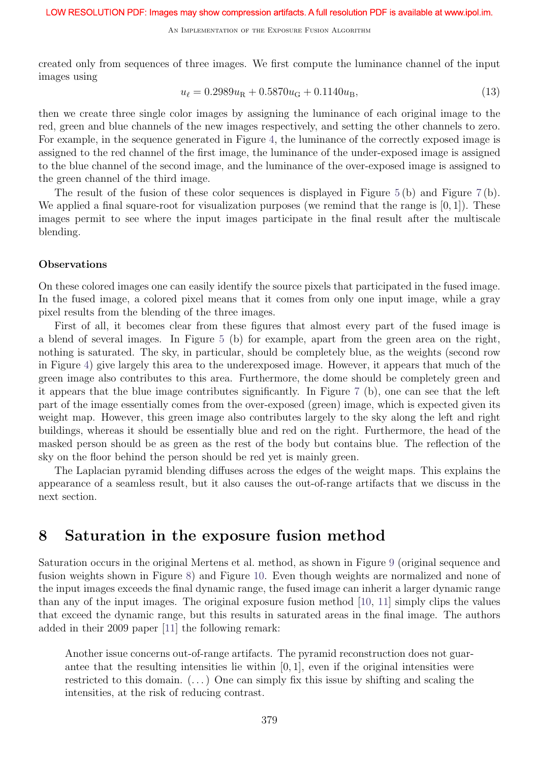AN IMPLEMENTATION OF THE EXPOSURE FUSION ALGORITHM

created only from sequences of three images. We first compute the luminance channel of the input images using

$$
u_{\ell} = 0.2989u_{\rm R} + 0.5870u_{\rm G} + 0.1140u_{\rm B},\tag{13}
$$

then we create three single color images by assigning the luminance of each original image to the red, green and blue channels of the new images respectively, and setting the other channels to zero. For example, in the sequence generated in Figure 4, the luminance of the correctly exposed image is assigned to the red channel of the first image, the luminance of the under-exposed image is assigned to the blue channel of the second image, and the luminance of the over-exposed image is assigned to the green channel of the third image.

The result of the fusion of these color sequences is displayed in Figure 5 (b) and Figure 7 (b). We applied a final square-root for visualization purposes (we remind that the range is  $[0, 1]$ ). These images permit to see where the input images participate in the final result after the multiscale blending.

#### **Observations**

On these colored images one can easily identify the source pixels that participated in the fused image. In the fused image, a colored pixel means that it comes from only one input image, while a gray pixel results from the blending of the three images.

First of all, it becomes clear from these figures that almost every part of the fused image is a blend of several images. In Figure 5 (b) for example, apart from the green area on the right, nothing is saturated. The sky, in particular, should be completely blue, as the weights (second row in Figure 4) give largely this area to the underexposed image. However, it appears that much of the green image also contributes to this area. Furthermore, the dome should be completely green and it appears that the blue image contributes significantly. In Figure 7 (b), one can see that the left part of the image essentially comes from the over-exposed (green) image, which is expected given its weight map. However, this green image also contributes largely to the sky along the left and right buildings, whereas it should be essentially blue and red on the right. Furthermore, the head of the masked person should be as green as the rest of the body but contains blue. The reflection of the sky on the floor behind the person should be red yet is mainly green.

The Laplacian pyramid blending diffuses across the edges of the weight maps. This explains the appearance of a seamless result, but it also causes the out-of-range artifacts that we discuss in the next section.

#### 8 Saturation in the exposure fusion method

Saturation occurs in the original Mertens et al. method, as shown in Figure 9 (original sequence and fusion weights shown in Figure 8) and Figure 10. Even though weights are normalized and none of the input images exceeds the final dynamic range, the fused image can inherit a larger dynamic range than any of the input images. The original exposure fusion method [10, 11] simply clips the values that exceed the dynamic range, but this results in saturated areas in the final image. The authors added in their 2009 paper [11] the following remark:

Another issue concerns out-of-range artifacts. The pyramid reconstruction does not guarantee that the resulting intensities lie within  $[0, 1]$ , even if the original intensities were restricted to this domain.  $(\ldots)$  One can simply fix this issue by shifting and scaling the intensities, at the risk of reducing contrast.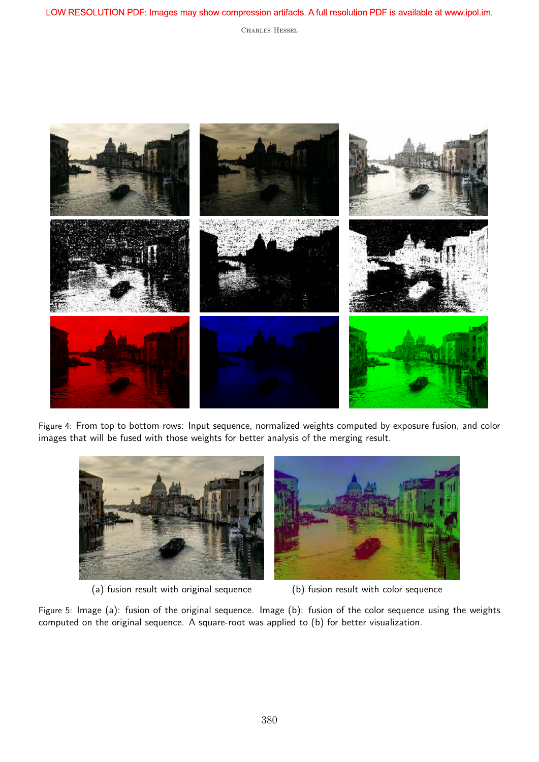

Figure 4: From top to bottom rows: Input sequence, normalized weights computed by exposure fusion, and color images that will be fused with those weights for better analysis of the merging result.



(a) fusion result with original sequence (b) fusion result with color sequence

Figure 5: Image (a): fusion of the original sequence. Image (b): fusion of the color sequence using the weights computed on the original sequence. A square-root was applied to (b) for better visualization.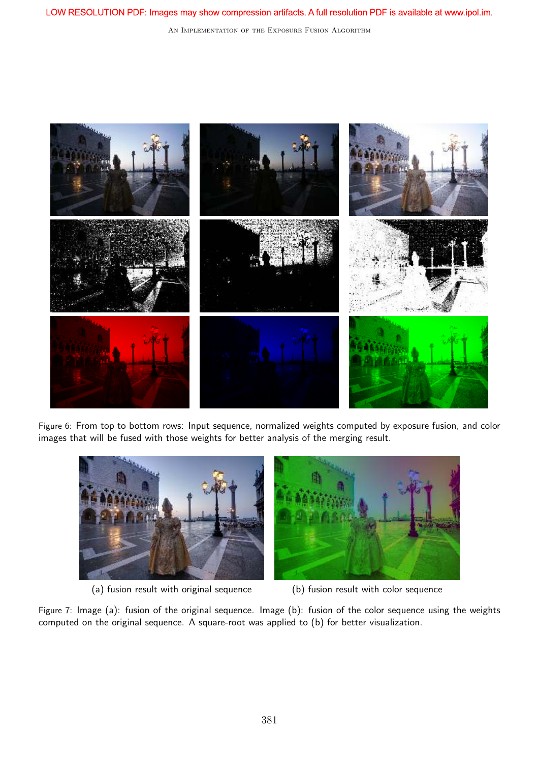AN IMPLEMENTATION OF THE EXPOSURE FUSION ALGORITHM



Figure 6: From top to bottom rows: Input sequence, normalized weights computed by exposure fusion, and color images that will be fused with those weights for better analysis of the merging result.



(a) fusion result with original sequence (b) fusion result with color sequence

Figure 7: Image (a): fusion of the original sequence. Image (b): fusion of the color sequence using the weights computed on the original sequence. A square-root was applied to (b) for better visualization.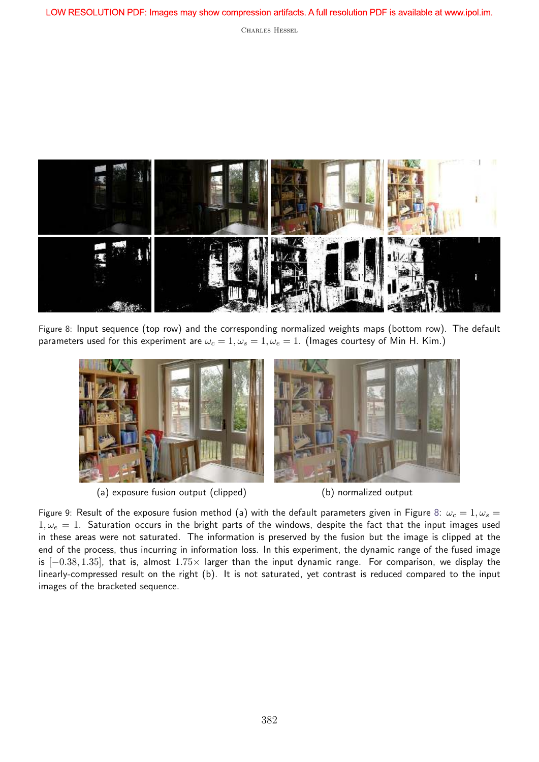

Figure 8: Input sequence (top row) and the corresponding normalized weights maps (bottom row). The default parameters used for this experiment are  $\omega_c = 1, \omega_s = 1, \omega_e = 1$ . (Images courtesy of Min H. Kim.)



(a) exposure fusion output (clipped) (b) normalized output

Figure 9: Result of the exposure fusion method (a) with the default parameters given in Figure 8:  $\omega_c = 1, \omega_s = 1$  $1, \omega_e = 1$ . Saturation occurs in the bright parts of the windows, despite the fact that the input images used in these areas were not saturated. The information is preserved by the fusion but the image is clipped at the end of the process, thus incurring in information loss. In this experiment, the dynamic range of the fused image is [−0.38, 1.35], that is, almost 1.75× larger than the input dynamic range. For comparison, we display the linearly-compressed result on the right (b). It is not saturated, yet contrast is reduced compared to the input images of the bracketed sequence.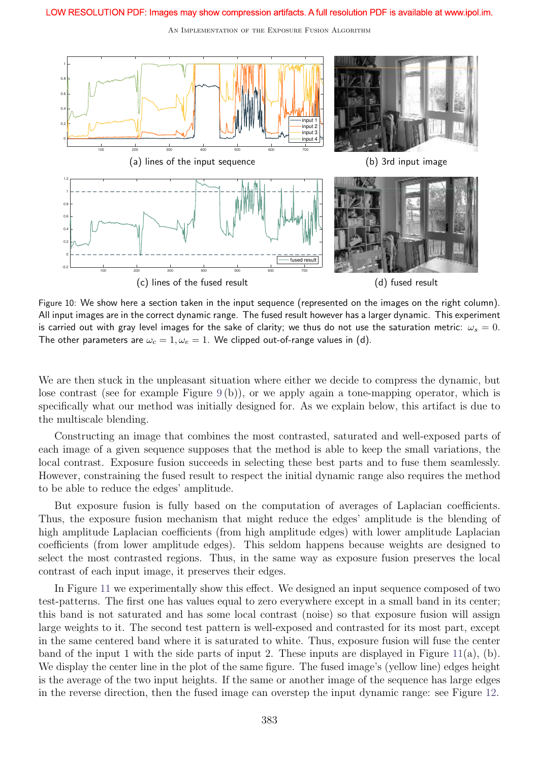AN IMPLEMENTATION OF THE EXPOSURE FUSION ALGORITHM



Figure 10: We show here a section taken in the input sequence (represented on the images on the right column). All input images are in the correct dynamic range. The fused result however has a larger dynamic. This experiment is carried out with gray level images for the sake of clarity; we thus do not use the saturation metric:  $\omega_s = 0$ . The other parameters are  $\omega_c = 1, \omega_e = 1$ . We clipped out-of-range values in (d).

We are then stuck in the unpleasant situation where either we decide to compress the dynamic, but lose contrast (see for example Figure 9 (b)), or we apply again a tone-mapping operator, which is specifically what our method was initially designed for. As we explain below, this artifact is due to the multiscale blending.

Constructing an image that combines the most contrasted, saturated and well-exposed parts of each image of a given sequence supposes that the method is able to keep the small variations, the local contrast. Exposure fusion succeeds in selecting these best parts and to fuse them seamlessly. However, constraining the fused result to respect the initial dynamic range also requires the method to be able to reduce the edges' amplitude.

But exposure fusion is fully based on the computation of averages of Laplacian coefficients. Thus, the exposure fusion mechanism that might reduce the edges' amplitude is the blending of high amplitude Laplacian coefficients (from high amplitude edges) with lower amplitude Laplacian coefficients (from lower amplitude edges). This seldom happens because weights are designed to select the most contrasted regions. Thus, in the same way as exposure fusion preserves the local contrast of each input image, it preserves their edges.

In Figure 11 we experimentally show this effect. We designed an input sequence composed of two test-patterns. The first one has values equal to zero everywhere except in a small band in its center; this band is not saturated and has some local contrast (noise) so that exposure fusion will assign large weights to it. The second test pattern is well-exposed and contrasted for its most part, except in the same centered band where it is saturated to white. Thus, exposure fusion will fuse the center band of the input 1 with the side parts of input 2. These inputs are displayed in Figure 11(a), (b). We display the center line in the plot of the same figure. The fused image's (yellow line) edges height is the average of the two input heights. If the same or another image of the sequence has large edges in the reverse direction, then the fused image can overstep the input dynamic range: see Figure 12.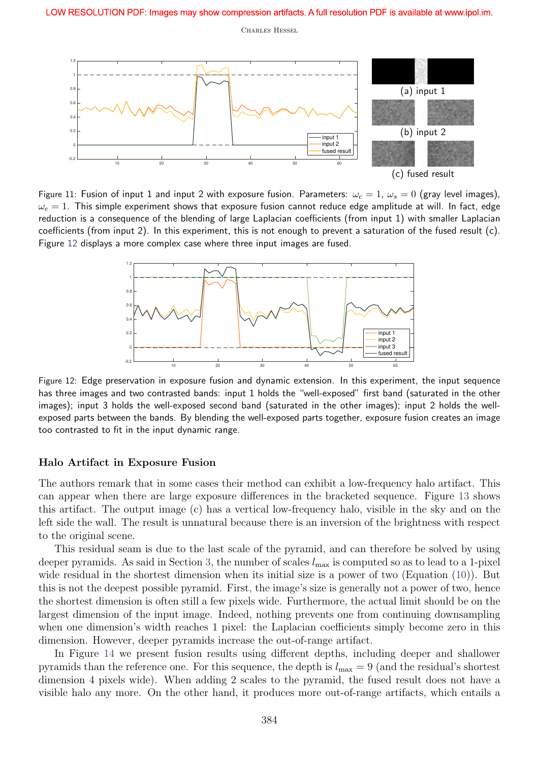

Figure 11: Fusion of input 1 and input 2 with exposure fusion. Parameters:  $\omega_c = 1$ ,  $\omega_s = 0$  (gray level images),  $\omega_e = 1$ . This simple experiment shows that exposure fusion cannot reduce edge amplitude at will. In fact, edge reduction is a consequence of the blending of large Laplacian coefficients (from input 1) with smaller Laplacian coefficients (from input 2). In this experiment, this is not enough to prevent a saturation of the fused result (c). Figure 12 displays a more complex case where three input images are fused.



Figure 12: Edge preservation in exposure fusion and dynamic extension. In this experiment, the input sequence has three images and two contrasted bands: input 1 holds the "well-exposed" first band (saturated in the other images); input 3 holds the well-exposed second band (saturated in the other images); input 2 holds the wellexposed parts between the bands. By blending the well-exposed parts together, exposure fusion creates an image too contrasted to fit in the input dynamic range.

#### Halo Artifact in Exposure Fusion

The authors remark that in some cases their method can exhibit a low-frequency halo artifact. This can appear when there are large exposure differences in the bracketed sequence. Figure 13 shows this artifact. The output image (c) has a vertical low-frequency halo, visible in the sky and on the left side the wall. The result is unnatural because there is an inversion of the brightness with respect to the original scene.

This residual seam is due to the last scale of the pyramid, and can therefore be solved by using deeper pyramids. As said in Section 3, the number of scales  $l_{\text{max}}$  is computed so as to lead to a 1-pixel wide residual in the shortest dimension when its initial size is a power of two (Equation (10)). But this is not the deepest possible pyramid. First, the image's size is generally not a power of two, hence the shortest dimension is often still a few pixels wide. Furthermore, the actual limit should be on the largest dimension of the input image. Indeed, nothing prevents one from continuing downsampling when one dimension's width reaches 1 pixel: the Laplacian coefficients simply become zero in this dimension. However, deeper pyramids increase the out-of-range artifact.

In Figure 14 we present fusion results using different depths, including deeper and shallower pyramids than the reference one. For this sequence, the depth is  $l_{\text{max}} = 9$  (and the residual's shortest dimension 4 pixels wide). When adding 2 scales to the pyramid, the fused result does not have a visible halo any more. On the other hand, it produces more out-of-range artifacts, which entails a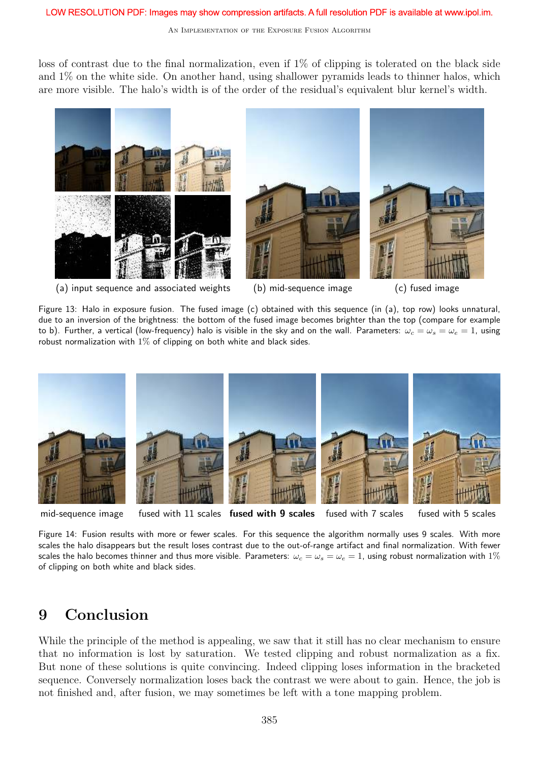loss of contrast due to the final normalization, even if  $1\%$  of clipping is tolerated on the black side and 1% on the white side. On another hand, using shallower pyramids leads to thinner halos, which are more visible. The halo's width is of the order of the residual's equivalent blur kernel's width.



(a) input sequence and associated weights (b) mid-sequence image (c) fused image





Figure 13: Halo in exposure fusion. The fused image (c) obtained with this sequence (in (a), top row) looks unnatural, due to an inversion of the brightness: the bottom of the fused image becomes brighter than the top (compare for example to b). Further, a vertical (low-frequency) halo is visible in the sky and on the wall. Parameters:  $\omega_c = \omega_s = \omega_e = 1$ , using robust normalization with  $1\%$  of clipping on both white and black sides.



mid-sequence image fused with 11 scales fused with 9 scales fused with 7 scales fused with 5 scales

Figure 14: Fusion results with more or fewer scales. For this sequence the algorithm normally uses 9 scales. With more scales the halo disappears but the result loses contrast due to the out-of-range artifact and final normalization. With fewer scales the halo becomes thinner and thus more visible. Parameters:  $\omega_c = \omega_s = \omega_e = 1$ , using robust normalization with 1% of clipping on both white and black sides.

### 9 Conclusion

While the principle of the method is appealing, we saw that it still has no clear mechanism to ensure that no information is lost by saturation. We tested clipping and robust normalization as a fix. But none of these solutions is quite convincing. Indeed clipping loses information in the bracketed sequence. Conversely normalization loses back the contrast we were about to gain. Hence, the job is not finished and, after fusion, we may sometimes be left with a tone mapping problem.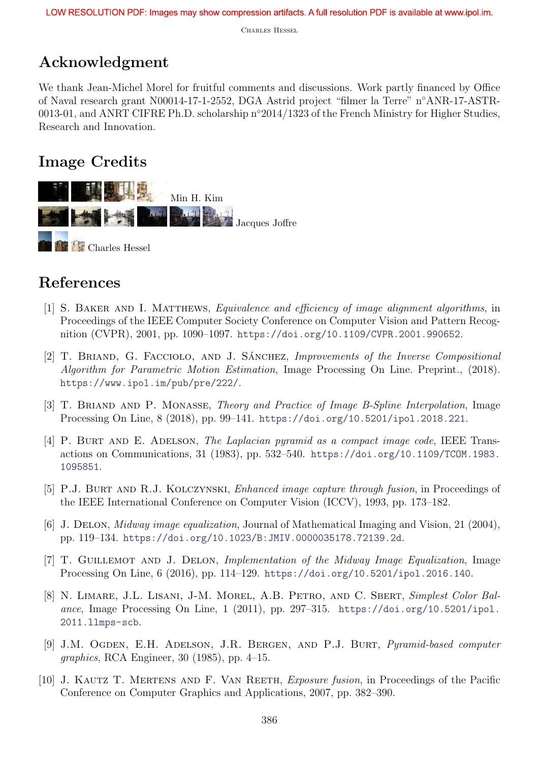# Acknowledgment

We thank Jean-Michel Morel for fruitful comments and discussions. Work partly financed by Office of Naval research grant N00014-17-1-2552, DGA Astrid project "filmer la Terre" n◦ANR-17-ASTR-0013-01, and ANRT CIFRE Ph.D. scholarship n◦2014/1323 of the French Ministry for Higher Studies, Research and Innovation.

# Image Credits



## References

- [1] S. Baker and I. Matthews, Equivalence and efficiency of image alignment algorithms, in Proceedings of the IEEE Computer Society Conference on Computer Vision and Pattern Recognition (CVPR), 2001, pp. 1090–1097. https://doi.org/10.1109/CVPR.2001.990652.
- [2] T. BRIAND, G. FACCIOLO, AND J. SÁNCHEZ, *Improvements of the Inverse Compositional* Algorithm for Parametric Motion Estimation, Image Processing On Line. Preprint., (2018). https://www.ipol.im/pub/pre/222/.
- [3] T. BRIAND AND P. MONASSE, Theory and Practice of Image B-Spline Interpolation, Image Processing On Line, 8 (2018), pp. 99–141. https://doi.org/10.5201/ipol.2018.221.
- [4] P. BURT AND E. ADELSON, The Laplacian pyramid as a compact image code, IEEE Transactions on Communications, 31 (1983), pp. 532–540. https://doi.org/10.1109/TCOM.1983. 1095851.
- [5] P.J. BURT AND R.J. KOLCZYNSKI, Enhanced image capture through fusion, in Proceedings of the IEEE International Conference on Computer Vision (ICCV), 1993, pp. 173–182.
- [6] J. DELON, *Midway image equalization*, Journal of Mathematical Imaging and Vision, 21 (2004), pp. 119–134. https://doi.org/10.1023/B:JMIV.0000035178.72139.2d.
- [7] T. Guillemot and J. Delon, Implementation of the Midway Image Equalization, Image Processing On Line, 6 (2016), pp. 114–129. https://doi.org/10.5201/ipol.2016.140.
- [8] N. LIMARE, J.L. LISANI, J-M. MOREL, A.B. PETRO, AND C. SBERT, Simplest Color Balance, Image Processing On Line,  $1(2011)$ , pp. 297-315. https://doi.org/10.5201/ipol. 2011.llmps-scb.
- [9] J.M. OGDEN, E.H. ADELSON, J.R. BERGEN, AND P.J. BURT, *Pyramid-based computer* graphics, RCA Engineer, 30 (1985), pp. 4–15.
- [10] J. Kautz T. Mertens and F. Van Reeth, Exposure fusion, in Proceedings of the Pacific Conference on Computer Graphics and Applications, 2007, pp. 382–390.